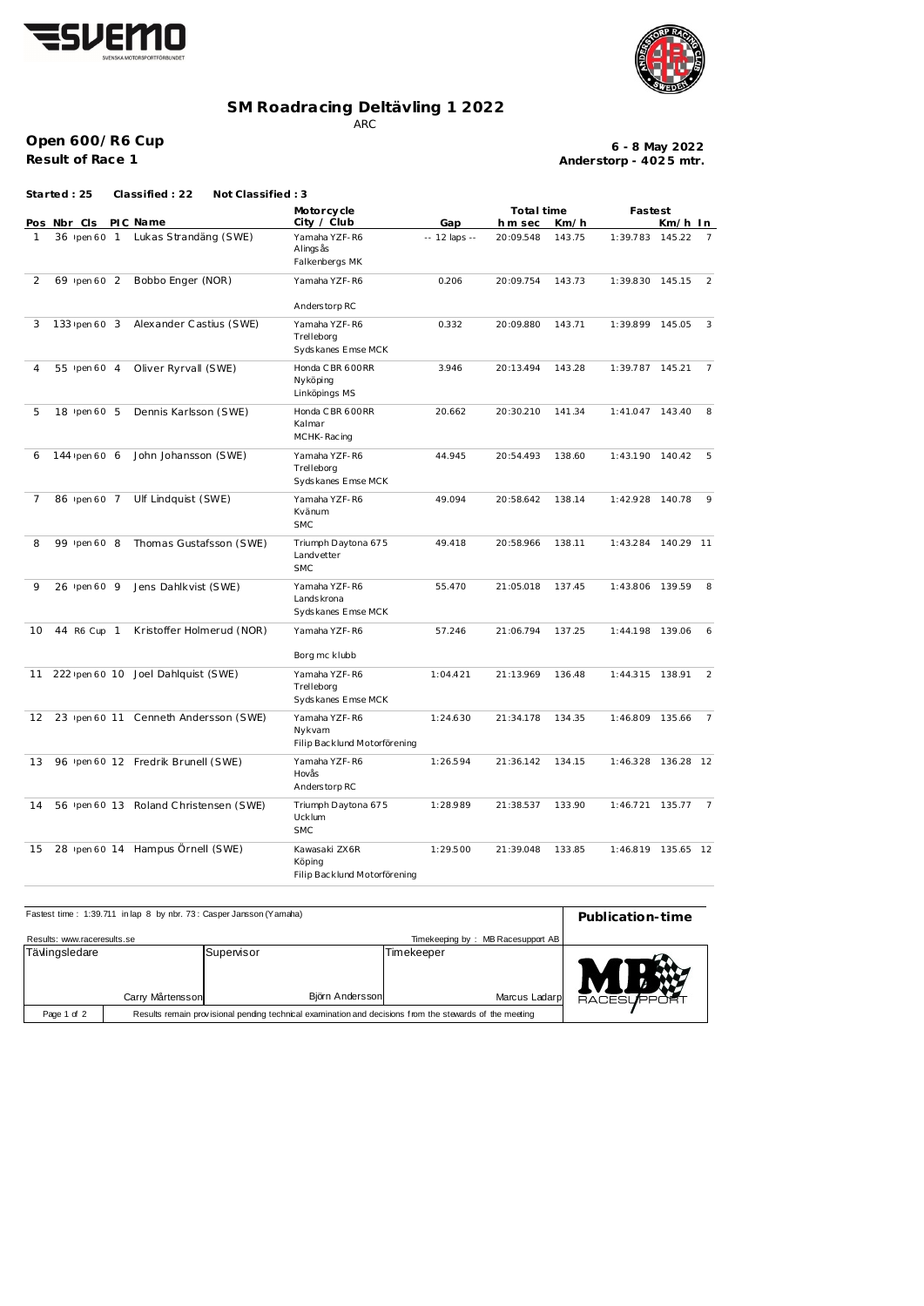



## **SM Roadracing Deltävling 1 2022**

ARC

**Open 600/R6 Cup**

**Result of Race 1**

**Anderstorp - 402 5 mtr. 6 - 8 May 2022**

|    | Started : 25            |  | Classified: 22<br>Not Classified: 3    |                                                         |               |           |                              |                    |                    |                |  |
|----|-------------------------|--|----------------------------------------|---------------------------------------------------------|---------------|-----------|------------------------------|--------------------|--------------------|----------------|--|
|    | PIC Name<br>Pos Nbr Cls |  |                                        | Motorcycle<br>City / Club                               | Gap           |           | Total time<br>hm sec<br>Km/h |                    | Fastest<br>Km/h In |                |  |
| 1  |                         |  | 36 Ipen 60 1 Lukas Strandäng (SWE)     | Yamaha YZF-R6<br>Alings ås<br>Falkenbergs MK            | -- 12 laps -- | 20:09.548 | 143.75                       | 1:39.783 145.22    |                    | 7              |  |
| 2  | 69 Ipen 60 2            |  | Bobbo Enger (NOR)                      | Yamaha YZF-R6<br>Anderstorp RC                          | 0.206         | 20:09.754 | 143.73                       | 1:39.830 145.15    |                    | 2              |  |
| 3  | 133 Ipen 60 3           |  | Alexander Castius (SWE)                | Yamaha YZF-R6<br>Trelleborg<br>Sydskanes Emse MCK       | 0.332         | 20:09.880 | 143.71                       | 1:39.899           | 145.05             | 3              |  |
| 4  | 55 ypen 60 4            |  | Oliver Ryrvall (SWE)                   | Honda C BR 600 RR<br>Nyköping<br>Linköpings MS          | 3.946         | 20:13.494 | 143.28                       | 1:39.787 145.21    |                    | $\overline{7}$ |  |
| 5  | 18 Ipen 60 5            |  | Dennis Karlsson (SWE)                  | Honda C BR 600 RR<br>Kalmar<br>MCHK-Racing              | 20.662        | 20:30.210 | 141.34                       | 1:41.047           | 143.40             | 8              |  |
| 6  | 144 Ipen 60 6           |  | John Johansson (SWE)                   | Yamaha YZF-R6<br>Trelleborg<br>Sydskanes Emse MCK       | 44.945        | 20:54.493 | 138.60                       | 1:43.190           | 140.42             | 5              |  |
| 7  | 86 Ipen 60 7            |  | Ulf Lindquist (SWE)                    | Yamaha YZF-R6<br>Kvänum<br><b>SMC</b>                   | 49.094        | 20:58.642 | 138.14                       | 1:42.928           | 140.78             | 9              |  |
| 8  | 99 Ipen 60 8            |  | Thomas Gustafsson (SWE)                | Triumph Daytona 675<br>Landvetter<br><b>SMC</b>         | 49.418        | 20:58.966 | 138.11                       | 1:43.284           | 140.29 11          |                |  |
| 9  | 26 Ipen 60 9            |  | Jens Dahlkvist (SWE)                   | Yamaha YZF-R6<br>Lands krona<br>Sydskanes Emse MCK      | 55.470        | 21:05.018 | 137.45                       | 1:43.806           | 139.59             | 8              |  |
| 10 | 44 R6 Cup 1             |  | Kristoffer Holmerud (NOR)              | Yamaha YZF-R6<br>Borg mc klubb                          | 57.246        | 21:06.794 | 137.25                       | 1:44.198 139.06    |                    | 6              |  |
| 11 |                         |  | 222 yeen 60 10 Joel Dahlquist (SWE)    | Yamaha YZF-R6<br>Trelleborg<br>Sydskanes Emse MCK       | 1:04.421      | 21:13.969 | 136.48                       | 1:44.315 138.91    |                    | 2              |  |
| 12 |                         |  | 23 /pen 60 11 Cenneth Andersson (SWE)  | Yamaha YZF-R6<br>Nykvam<br>Filip Backlund Motorförening | 1:24.630      | 21:34.178 | 134.35                       | 1:46.809           | 135.66             | $\overline{7}$ |  |
| 13 |                         |  | 96 Ipen 60 12 Fredrik Brunell (SWE)    | Yamaha YZF-R6<br>Hovås<br>Anderstorp RC                 | 1:26.594      | 21:36.142 | 134.15                       | 1:46.328 136.28 12 |                    |                |  |
| 14 |                         |  | 56 Ipen 60 13 Roland Christensen (SWE) | Triumph Daytona 675<br>Ucklum<br><b>SMC</b>             | 1:28.989      | 21:38.537 | 133.90                       | 1:46.721 135.77    |                    | $\overline{7}$ |  |
| 15 |                         |  | 28 ipen 60 14 Hampus Örnell (SWE)      | Kawasaki ZX6R<br>Köping<br>Filip Backlund Motorförening | 1:29.500      | 21:39.048 | 133.85                       | 1:46.819 135.65 12 |                    |                |  |

| Fastest time: 1:39.711 in lap 8 by nbr. 73: Casper Jansson (Yamaha) | Publication-time                                                                                        |                               |                             |                    |  |
|---------------------------------------------------------------------|---------------------------------------------------------------------------------------------------------|-------------------------------|-----------------------------|--------------------|--|
| Results: www.raceresults.se                                         | Timekeeping by: MB Racesupport AB                                                                       |                               |                             |                    |  |
| Tävlingsledare                                                      | Carry Mårtensson                                                                                        | Supervisor<br>Björn Andersson | Timekeeper<br>Marcus Ladarp | <b>RACESUPPORT</b> |  |
| Page 1 of 2                                                         | Results remain provisional pending technical examination and decisions from the stewards of the meeting |                               |                             |                    |  |